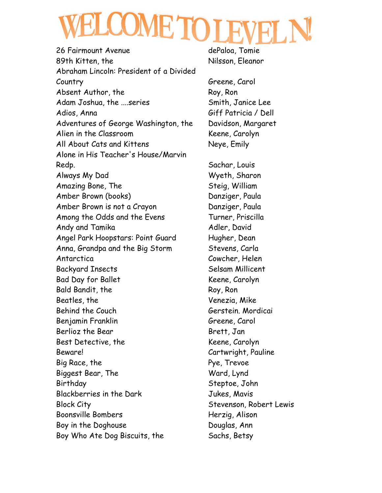26 Fairmount Avenue dePaloa, Tomie 89th Kitten, the Nilsson, Eleanor Abraham Lincoln: President of a Divided Country Greene, Carol Absent Author, the Roy, Ron Adam Joshua, the ....series Smith, Janice Lee Adios, Anna Giff Patricia / Dell Adventures of George Washington, the Davidson, Margaret Alien in the Classroom Keene, Carolyn All About Cats and Kittens Neye, Emily Alone in His Teacher's House/Marvin Redp. Sachar, Louis Always My Dad Wyeth, Sharon Amazing Bone, The Steig, William Amber Brown (books) Danziger, Paula Amber Brown is not a Crayon **Danziger**, Paula Among the Odds and the Evens Turner, Priscilla Andy and Tamika Ander, David Angel Park Hoopstars: Point Guard Hugher, Dean Anna, Grandpa and the Big Storm Stevens, Carla Antarctica Cowcher, Helen Backyard Insects Selsam Millicent Bad Day for Ballet Keene, Carolyn Bald Bandit, the Roy, Ron Beatles, the Venezia, Mike Behind the Couch Gerstein. Mordicai Benjamin Franklin Greene, Carol Berlioz the Bear Brett, Jan Best Detective, the Keene, Carolyn Beware! Cartwright, Pauline Big Race, the **Pye**, Trevoe Biggest Bear, The Ward, Lynd Birthday Steptoe, John Blackberries in the Dark Jukes, Mavis Block City Stevenson, Robert Lewis Boonsville Bombers **Herzig**, Alison Boy in the Doghouse **Douglas**, Ann Boy Who Ate Dog Biscuits, the Sachs, Betsy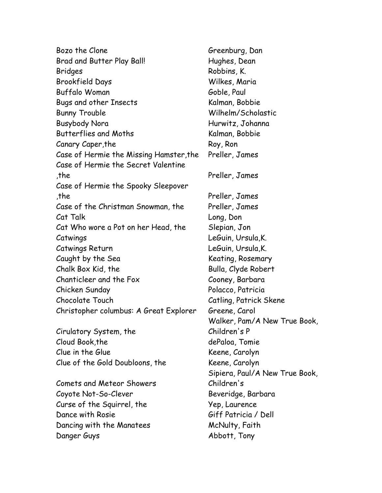| Bozo the Clone                                                                 | Greenburg, Dar   |
|--------------------------------------------------------------------------------|------------------|
| <b>Brad and Butter Play Ball!</b>                                              | Hughes, Dean     |
| <b>Bridges</b>                                                                 | Robbins, K.      |
| <b>Brookfield Days</b>                                                         | Wilkes, Maria    |
| <b>Buffalo Woman</b>                                                           | Goble, Paul      |
| Bugs and other Insects                                                         | Kalman, Bobbie   |
| <b>Bunny Trouble</b>                                                           | Wilhelm/Schold   |
| <b>Busybody Nora</b>                                                           | Hurwitz, Johan   |
| <b>Butterflies and Moths</b>                                                   | Kalman, Bobbie   |
| Canary Caper, the                                                              | Roy, Ron         |
| Case of Hermie the Missing Hamster, the<br>Case of Hermie the Secret Valentine | Preller, James   |
| ,the                                                                           | Preller, James   |
| Case of Hermie the Spooky Sleepover                                            |                  |
| the,                                                                           | Preller, James   |
| Case of the Christman Snowman, the                                             | Preller, James   |
| Cat Talk                                                                       | Long, Don        |
| Cat Who wore a Pot on her Head, the                                            | Slepian, Jon     |
| Catwings                                                                       | LeGuin, Ursula,  |
| Catwings Return                                                                | LeGuin, Ursula,  |
| Caught by the Sea                                                              | Keating, Rosem   |
| Chalk Box Kid, the                                                             | Bulla, Clyde Rob |
| Chanticleer and the Fox                                                        | Cooney, Barbar   |
| Chicken Sunday                                                                 | Polacco, Patrici |
| Chocolate Touch                                                                | Catling, Patrick |
| Christopher columbus: A Great Explorer                                         | Greene, Carol    |
|                                                                                | Walker, Pam/A    |
| Cirulatory System, the                                                         | Children's P     |
| Cloud Book, the                                                                | dePaloa, Tomie   |
| Clue in the Glue                                                               | Keene, Carolyn   |
| Clue of the Gold Doubloons, the                                                | Keene, Carolyn   |
|                                                                                | Sipiera, Paul/A  |
| <b>Comets and Meteor Showers</b>                                               | Children's       |
| Coyote Not-So-Clever                                                           | Beveridge, Barl  |
| Curse of the Squirrel, the                                                     | Yep, Laurence    |
| Dance with Rosie                                                               | Giff Patricia /  |
| Dancing with the Manatees                                                      | McNulty, Faith   |

Greenburg, Dan Hughes, Dean Robbins, K. Wilkes, Maria Goble, Paul Kalman, Bobbie Wilhelm/Scholastic Hurwitz, Johanna Kalman, Bobbie Roy, Ron Preller, James Preller, James Preller, James Preller, James Long, Don Slepian, Jon LeGuin, Ursula, K. LeGuin, Ursula, K. Keating, Rosemary Bulla, Clyde Robert Cooney, Barbara Polacco, Patricia Catling, Patrick Skene Greene, Carol Walker, Pam/A New True Book, Children's P dePaloa, Tomie Keene, Carolyn Keene, Carolyn Sipiera, Paul/A New True Book, Children's Beveridge, Barbara Yep, Laurence Giff Patricia / Dell Danger Guys Abbott, Tony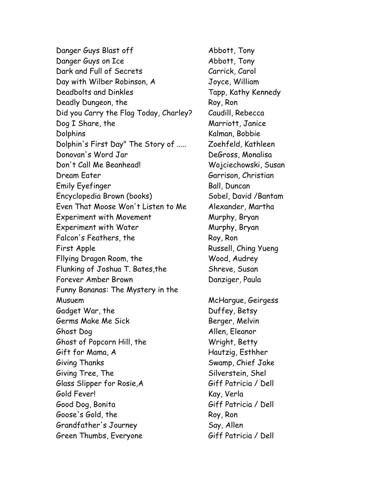Danger Guys Blast off Abbott, Tony Danger Guys on Ice Abbott, Tony Dark and Full of Secrets Carrick, Carol Day with Wilber Robinson, A Joyce, William Deadbolts and Dinkles Tapp, Kathy Kennedy Deadly Dungeon, the Roy, Ron Did you Carry the Flag Today, Charley? Caudill, Rebecca Dog I Share, the Marriott, Janice Dolphins Kalman, Bobbie Dolphin's First Day" The Story of ..... Zoehfeld, Kathleen Donovan's Word Jar DeGross, Monalisa Don't Call Me Beanhead! Wojciechowski, Susan Dream Eater Garrison, Christian Emily Eyefinger **Ball**, Duncan Encyclopedia Brown (books) Sobel, David /Bantam Even That Moose Won't Listen to Me Alexander, Martha Experiment with Movement Murphy, Bryan Experiment with Water **Murphy, Bryan** Falcon's Feathers, the Roy, Ron First Apple **Russell**, Ching Yueng Fllying Dragon Room, the Wood, Audrey Flunking of Joshua T. Bates,the Shreve, Susan Forever Amber Brown **Danziger**, Paula Funny Bananas: The Mystery in the Musuem McHargue, Geirgess Gadget War, the Duffey, Betsy Germs Make Me Sick Berger, Melvin Ghost Dog Allen, Eleanor Ghost of Popcorn Hill, the Wright, Betty Gift for Mama, A **Hautzig, Esthher** Giving Thanks Swamp, Chief Jake Giving Tree, The Silverstein, Shel Glass Slipper for Rosie,A Giff Patricia / Dell Gold Fever! Kay, Verla Good Dog, Bonita Giff Patricia / Dell Goose's Gold, the Roy, Ron Grandfather's Journey Say, Allen Green Thumbs, Everyone Giff Patricia / Dell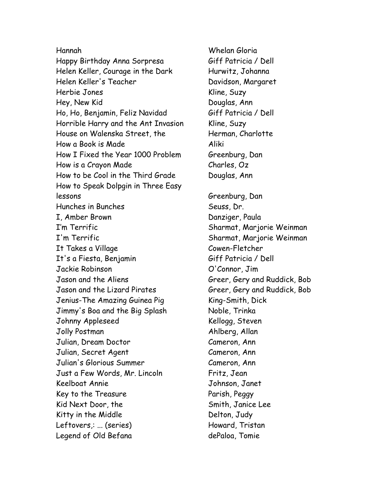Hannah Whelan Gloria Happy Birthday Anna Sorpresa Giff Patricia / Dell Helen Keller, Courage in the Dark Hurwitz, Johanna Helen Keller's Teacher Davidson, Margaret Herbie Jones Nine, Suzy Hey, New Kid Douglas, Ann Ho, Ho, Benjamin, Feliz Navidad Giff Patricia / Dell Horrible Harry and the Ant Invasion Kline, Suzy House on Walenska Street, the Herman, Charlotte How a Book is Made Aliki How I Fixed the Year 1000 Problem Greenburg, Dan How is a Crayon Made Charles, Oz How to be Cool in the Third Grade Douglas, Ann How to Speak Dolpgin in Three Easy lessons Greenburg, Dan Hunches in Bunches Seuss, Dr. I, Amber Brown Danziger, Paula I'm Terrific Sharmat, Marjorie Weinman I'm Terrific **I'm Terrific Sharmat, Marjorie Weinman** It Takes a Village Cowen-Fletcher It's a Fiesta, Benjamin Giff Patricia / Dell Jackie Robinson O'Connor, Jim Jason and the Aliens Greer, Gery and Ruddick, Bob Jason and the Lizard Pirates Greer, Gery and Ruddick, Bob Jenius-The Amazing Guinea Pig King-Smith, Dick Jimmy's Boa and the Big Splash Noble, Trinka Johnny Appleseed Kellogg, Steven Jolly Postman Ahlberg, Allan Julian, Dream Doctor Cameron, Ann Julian, Secret Agent Cameron, Ann Julian's Glorious Summer Cameron, Ann Just a Few Words, Mr. Lincoln Fritz, Jean Keelboat Annie Johnson, Janet Key to the Treasure **Parish, Peggy** Kid Next Door, the Smith, Janice Lee Kitty in the Middle **Delton**, Judy Leftovers,: ... (series) Finance Morton Howard, Tristan Legend of Old Befana dePaloa, Tomie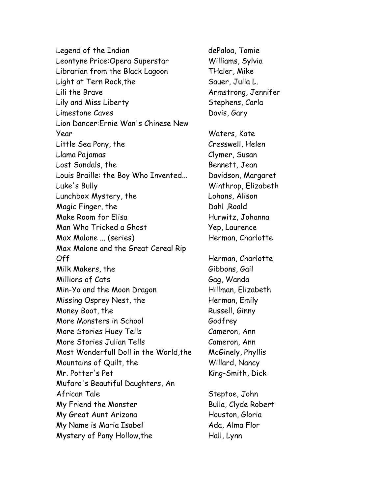Legend of the Indian dePaloa, Tomie Leontyne Price:Opera Superstar Williams, Sylvia Librarian from the Black Lagoon THaler, Mike Light at Tern Rock, the Sauer, Julia L. Lili the Brave **Armstrong, Jennifer** Lily and Miss Liberty **Stephens, Carla** Limestone Caves **Davis**, Gary Lion Dancer:Ernie Wan's Chinese New Year Waters, Kate Little Sea Pony, the Cresswell, Helen Llama Pajamas Clymer, Susan Lost Sandals, the Bennett, Jean Louis Braille: the Boy Who Invented... Davidson, Margaret Luke's Bully Winthrop, Elizabeth Lunchbox Mystery, the Lohans, Alison Magic Finger, the Dahl ,Roald Make Room for Elisa **Hurwitz, Johanna** Man Who Tricked a Ghost Yep, Laurence Max Malone ... (series) Herman, Charlotte Max Malone and the Great Cereal Rip Off Herman, Charlotte Milk Makers, the Gibbons, Gail Millions of Cats Gag, Wanda Min-Yo and the Moon Dragon Hillman, Elizabeth Missing Osprey Nest, the Herman, Emily Money Boot, the Russell, Ginny More Monsters in School Godfrey More Stories Huey Tells Cameron, Ann More Stories Julian Tells Cameron, Ann Most Wonderfull Doll in the World,the McGinely, Phyllis Mountains of Quilt, the Willard, Nancy Mr. Potter's Pet King-Smith, Dick Mufaro's Beautiful Daughters, An African Tale Steptoe, John My Friend the Monster **Bulla**, Clyde Robert My Great Aunt Arizona **Houston, Gloria** My Name is Maria Isabel Ada, Alma Flor Mystery of Pony Hollow, the Hall, Lynn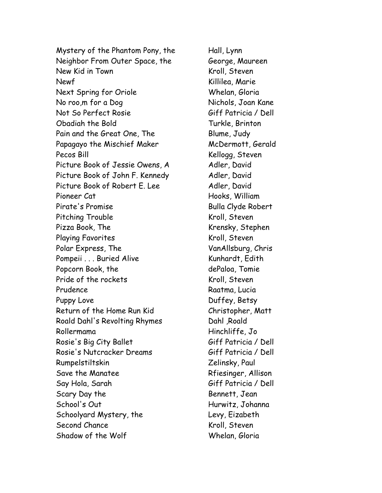Mystery of the Phantom Pony, the Hall, Lynn Neighbor From Outer Space, the George, Maureen New Kid in Town **Kroll**, Steven Newf Newf Rillilea, Marie Next Spring for Oriole Whelan, Gloria No roo,m for a Dog Nichols, Joan Kane Not So Perfect Rosie Giff Patricia / Dell Obadiah the Bold Turkle, Brinton Pain and the Great One, The Blume, Judy Papagayo the Mischief Maker McDermott, Gerald Pecos Bill **Recos Bill** Recos Bill Recos Bill Recos Bill Recos Recognization Recognization Recognization Recogniz Picture Book of Jessie Owens, A Adler, David Picture Book of John F. Kennedy Adler, David Picture Book of Robert E. Lee Adler, David Pioneer Cat Nooks, William Pirate's Promise and Clyde Robert Pitching Trouble Kroll, Steven Pizza Book, The Krensky, Stephen Playing Favorites Kroll, Steven Polar Express, The VanAllsburg, Chris Pompeii . . . Buried Alive **Kunhardt, Edith** Popcorn Book, the dePaloa, Tomie Pride of the rockets Kroll, Steven Prudence Raatma, Lucia Puppy Love **Duffey, Betsy** Return of the Home Run Kid Christopher, Matt Roald Dahl's Revolting Rhymes Dahl, Roald Rollermama Hinchliffe, Jo Rosie's Big City Ballet Giff Patricia / Dell Rosie's Nutcracker Dreams Giff Patricia / Dell Rumpelstiltskin Zelinsky, Paul Save the Manatee Rfiesinger, Allison Say Hola, Sarah Giff Patricia / Dell Scary Day the Bennett, Jean School's Out **Hurwitz, Johanna** Schoolyard Mystery, the Levy, Eizabeth Second Chance Kroll, Steven Shadow of the Wolf Whelan, Gloria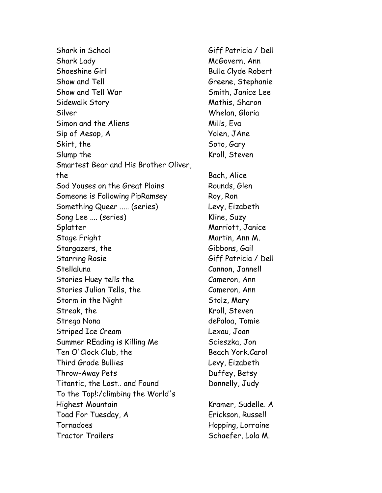Shark in School Giff Patricia / Dell Shark Lady McGovern, Ann Shoeshine Girl Bulla Clyde Robert Show and Tell Greene, Stephanie Show and Tell War Show and Tell War Smith, Janice Lee Sidewalk Story Mathis, Sharon Silver Whelan, Gloria Simon and the Aliens The Mills, Eva Sip of Aesop, A Yolen, JAne Skirt, the Soto, Gary Slump the Kroll, Steven Smartest Bear and His Brother Oliver, the Bach, Alice Sod Youses on the Great Plains Rounds, Glen Someone is Following PipRamsey Roy, Ron Something Queer ..... (series) Levy, Eizabeth Song Lee .... (series) Kline, Suzy Splatter Marriott, Janice Stage Fright Martin, Ann M. Stargazers, the Gibbons, Gail Starring Rosie Giff Patricia / Dell Stellaluna Cannon, Jannell Stories Huey tells the Cameron, Ann Stories Julian Tells, the Cameron, Ann Storm in the Night Stolz, Mary Streak, the Kroll, Steven Strega Nona dePaloa, Tomie Striped Ice Cream Lexau, Joan Summer REading is Killing Me Scieszka, Jon Ten O'Clock Club, the Beach York.Carol Third Grade Bullies Levy, Eizabeth Throw-Away Pets **Duffey, Betsy** Titantic, the Lost.. and Found Donnelly, Judy To the Top!:/climbing the World's Highest Mountain **Kramer, Sudelle.** A Toad For Tuesday, A Erickson, Russell Tornadoes Hopping, Lorraine Tractor Trailers Schaefer, Lola M.